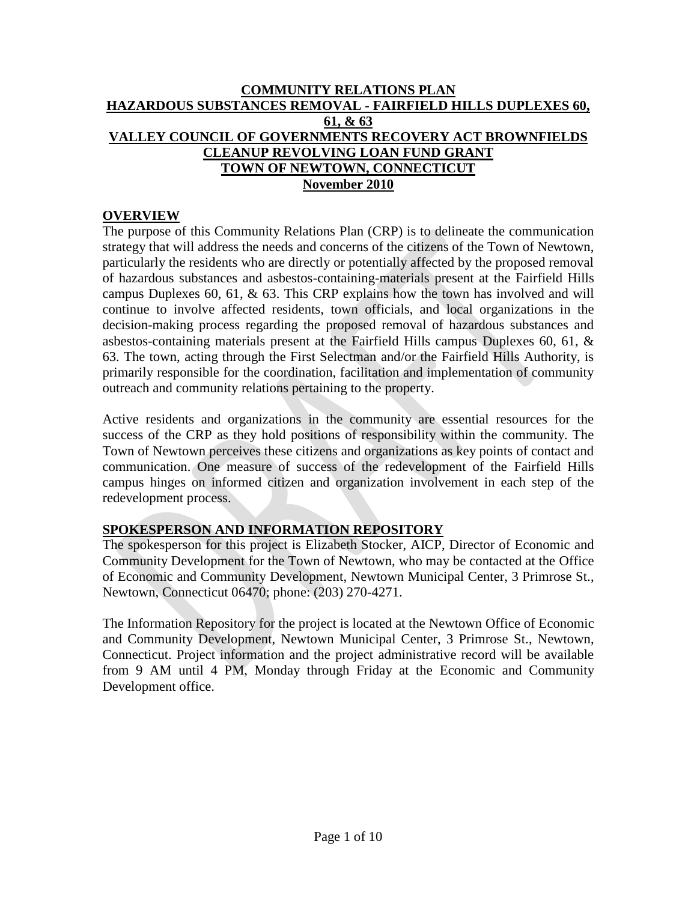# **COMMUNITY RELATIONS PLAN HAZARDOUS SUBSTANCES REMOVAL - FAIRFIELD HILLS DUPLEXES 60, 61, & 63 VALLEY COUNCIL OF GOVERNMENTS RECOVERY ACT BROWNFIELDS CLEANUP REVOLVING LOAN FUND GRANT TOWN OF NEWTOWN, CONNECTICUT November 2010**

# **OVERVIEW**

The purpose of this Community Relations Plan (CRP) is to delineate the communication strategy that will address the needs and concerns of the citizens of the Town of Newtown, particularly the residents who are directly or potentially affected by the proposed removal of hazardous substances and asbestos-containing-materials present at the Fairfield Hills campus Duplexes 60, 61, & 63. This CRP explains how the town has involved and will continue to involve affected residents, town officials, and local organizations in the decision-making process regarding the proposed removal of hazardous substances and asbestos-containing materials present at the Fairfield Hills campus Duplexes 60, 61, & 63. The town, acting through the First Selectman and/or the Fairfield Hills Authority, is primarily responsible for the coordination, facilitation and implementation of community outreach and community relations pertaining to the property.

Active residents and organizations in the community are essential resources for the success of the CRP as they hold positions of responsibility within the community. The Town of Newtown perceives these citizens and organizations as key points of contact and communication. One measure of success of the redevelopment of the Fairfield Hills campus hinges on informed citizen and organization involvement in each step of the redevelopment process.

# **SPOKESPERSON AND INFORMATION REPOSITORY**

The spokesperson for this project is Elizabeth Stocker, AICP, Director of Economic and Community Development for the Town of Newtown, who may be contacted at the Office of Economic and Community Development, Newtown Municipal Center, 3 Primrose St., Newtown, Connecticut 06470; phone: (203) 270-4271.

The Information Repository for the project is located at the Newtown Office of Economic and Community Development, Newtown Municipal Center, 3 Primrose St., Newtown, Connecticut. Project information and the project administrative record will be available from 9 AM until 4 PM, Monday through Friday at the Economic and Community Development office.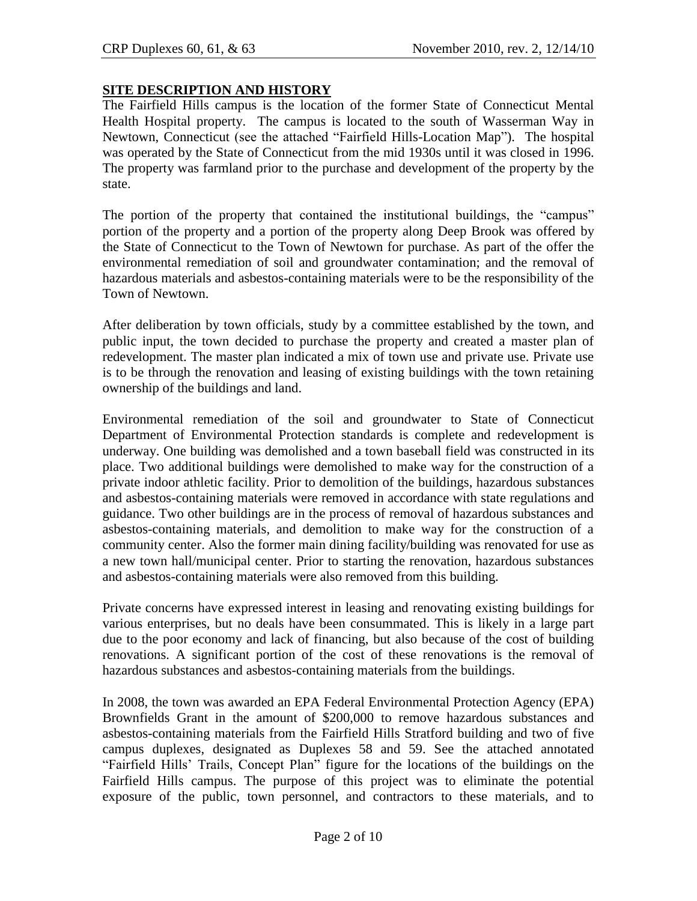# **SITE DESCRIPTION AND HISTORY**

The Fairfield Hills campus is the location of the former State of Connecticut Mental Health Hospital property. The campus is located to the south of Wasserman Way in Newtown, Connecticut (see the attached "Fairfield Hills-Location Map"). The hospital was operated by the State of Connecticut from the mid 1930s until it was closed in 1996. The property was farmland prior to the purchase and development of the property by the state.

The portion of the property that contained the institutional buildings, the "campus" portion of the property and a portion of the property along Deep Brook was offered by the State of Connecticut to the Town of Newtown for purchase. As part of the offer the environmental remediation of soil and groundwater contamination; and the removal of hazardous materials and asbestos-containing materials were to be the responsibility of the Town of Newtown.

After deliberation by town officials, study by a committee established by the town, and public input, the town decided to purchase the property and created a master plan of redevelopment. The master plan indicated a mix of town use and private use. Private use is to be through the renovation and leasing of existing buildings with the town retaining ownership of the buildings and land.

Environmental remediation of the soil and groundwater to State of Connecticut Department of Environmental Protection standards is complete and redevelopment is underway. One building was demolished and a town baseball field was constructed in its place. Two additional buildings were demolished to make way for the construction of a private indoor athletic facility. Prior to demolition of the buildings, hazardous substances and asbestos-containing materials were removed in accordance with state regulations and guidance. Two other buildings are in the process of removal of hazardous substances and asbestos-containing materials, and demolition to make way for the construction of a community center. Also the former main dining facility/building was renovated for use as a new town hall/municipal center. Prior to starting the renovation, hazardous substances and asbestos-containing materials were also removed from this building.

Private concerns have expressed interest in leasing and renovating existing buildings for various enterprises, but no deals have been consummated. This is likely in a large part due to the poor economy and lack of financing, but also because of the cost of building renovations. A significant portion of the cost of these renovations is the removal of hazardous substances and asbestos-containing materials from the buildings.

In 2008, the town was awarded an EPA Federal Environmental Protection Agency (EPA) Brownfields Grant in the amount of \$200,000 to remove hazardous substances and asbestos-containing materials from the Fairfield Hills Stratford building and two of five campus duplexes, designated as Duplexes 58 and 59. See the attached annotated "Fairfield Hills' Trails, Concept Plan" figure for the locations of the buildings on the Fairfield Hills campus. The purpose of this project was to eliminate the potential exposure of the public, town personnel, and contractors to these materials, and to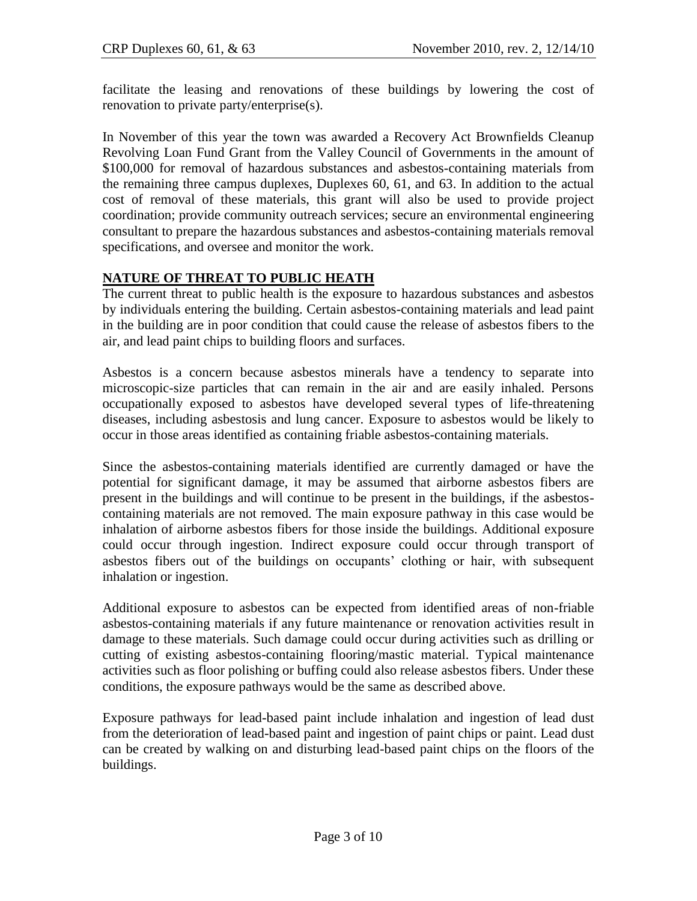facilitate the leasing and renovations of these buildings by lowering the cost of renovation to private party/enterprise(s).

In November of this year the town was awarded a Recovery Act Brownfields Cleanup Revolving Loan Fund Grant from the Valley Council of Governments in the amount of \$100,000 for removal of hazardous substances and asbestos-containing materials from the remaining three campus duplexes, Duplexes 60, 61, and 63. In addition to the actual cost of removal of these materials, this grant will also be used to provide project coordination; provide community outreach services; secure an environmental engineering consultant to prepare the hazardous substances and asbestos-containing materials removal specifications, and oversee and monitor the work.

# **NATURE OF THREAT TO PUBLIC HEATH**

The current threat to public health is the exposure to hazardous substances and asbestos by individuals entering the building. Certain asbestos-containing materials and lead paint in the building are in poor condition that could cause the release of asbestos fibers to the air, and lead paint chips to building floors and surfaces.

Asbestos is a concern because asbestos minerals have a tendency to separate into microscopic-size particles that can remain in the air and are easily inhaled. Persons occupationally exposed to asbestos have developed several types of life-threatening diseases, including asbestosis and lung cancer. Exposure to asbestos would be likely to occur in those areas identified as containing friable asbestos-containing materials.

Since the asbestos-containing materials identified are currently damaged or have the potential for significant damage, it may be assumed that airborne asbestos fibers are present in the buildings and will continue to be present in the buildings, if the asbestoscontaining materials are not removed. The main exposure pathway in this case would be inhalation of airborne asbestos fibers for those inside the buildings. Additional exposure could occur through ingestion. Indirect exposure could occur through transport of asbestos fibers out of the buildings on occupants' clothing or hair, with subsequent inhalation or ingestion.

Additional exposure to asbestos can be expected from identified areas of non-friable asbestos-containing materials if any future maintenance or renovation activities result in damage to these materials. Such damage could occur during activities such as drilling or cutting of existing asbestos-containing flooring/mastic material. Typical maintenance activities such as floor polishing or buffing could also release asbestos fibers. Under these conditions, the exposure pathways would be the same as described above.

Exposure pathways for lead-based paint include inhalation and ingestion of lead dust from the deterioration of lead-based paint and ingestion of paint chips or paint. Lead dust can be created by walking on and disturbing lead-based paint chips on the floors of the buildings.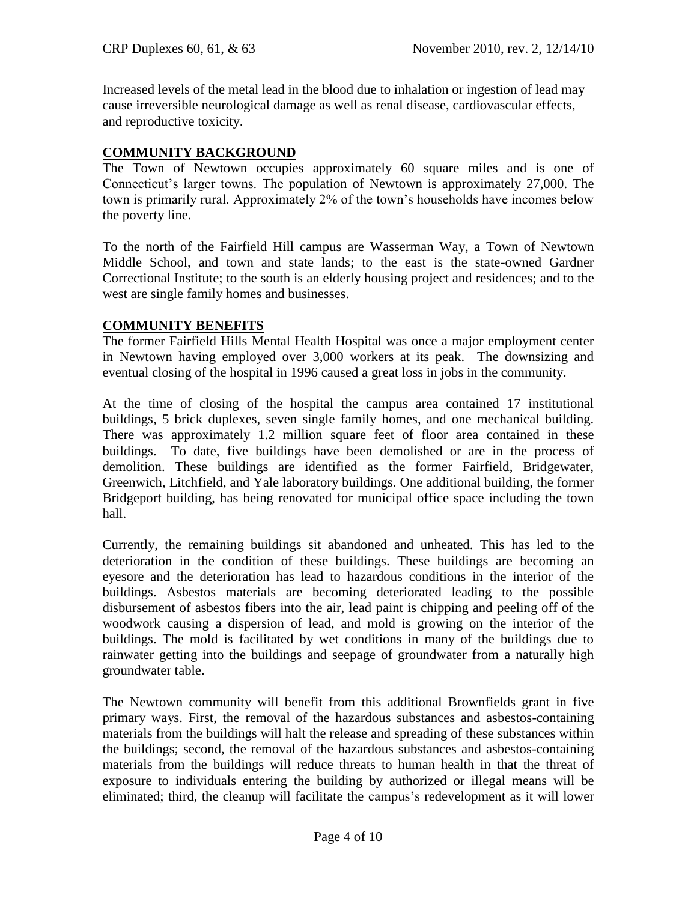Increased levels of the metal [lead](http://en.wikipedia.org/wiki/Lead) in the blood due to inhalation or ingestion of lead may cause irreversible [neurological](http://en.wikipedia.org/wiki/Neurological) damage as well as [renal disease,](http://en.wikipedia.org/wiki/Renal_disease) [cardiovascular](http://en.wikipedia.org/wiki/Cardiovascular) effects, and [reproductive](http://en.wikipedia.org/wiki/Human_reproduction) toxicity.

# **COMMUNITY BACKGROUND**

The Town of Newtown occupies approximately 60 square miles and is one of Connecticut's larger towns. The population of Newtown is approximately 27,000. The town is primarily rural. Approximately 2% of the town's households have incomes below the poverty line.

To the north of the Fairfield Hill campus are Wasserman Way, a Town of Newtown Middle School, and town and state lands; to the east is the state-owned Gardner Correctional Institute; to the south is an elderly housing project and residences; and to the west are single family homes and businesses.

#### **COMMUNITY BENEFITS**

The former Fairfield Hills Mental Health Hospital was once a major employment center in Newtown having employed over 3,000 workers at its peak. The downsizing and eventual closing of the hospital in 1996 caused a great loss in jobs in the community.

At the time of closing of the hospital the campus area contained 17 institutional buildings, 5 brick duplexes, seven single family homes, and one mechanical building. There was approximately 1.2 million square feet of floor area contained in these buildings. To date, five buildings have been demolished or are in the process of demolition. These buildings are identified as the former Fairfield, Bridgewater, Greenwich, Litchfield, and Yale laboratory buildings. One additional building, the former Bridgeport building, has being renovated for municipal office space including the town hall.

Currently, the remaining buildings sit abandoned and unheated. This has led to the deterioration in the condition of these buildings. These buildings are becoming an eyesore and the deterioration has lead to hazardous conditions in the interior of the buildings. Asbestos materials are becoming deteriorated leading to the possible disbursement of asbestos fibers into the air, lead paint is chipping and peeling off of the woodwork causing a dispersion of lead, and mold is growing on the interior of the buildings. The mold is facilitated by wet conditions in many of the buildings due to rainwater getting into the buildings and seepage of groundwater from a naturally high groundwater table.

The Newtown community will benefit from this additional Brownfields grant in five primary ways. First, the removal of the hazardous substances and asbestos-containing materials from the buildings will halt the release and spreading of these substances within the buildings; second, the removal of the hazardous substances and asbestos-containing materials from the buildings will reduce threats to human health in that the threat of exposure to individuals entering the building by authorized or illegal means will be eliminated; third, the cleanup will facilitate the campus's redevelopment as it will lower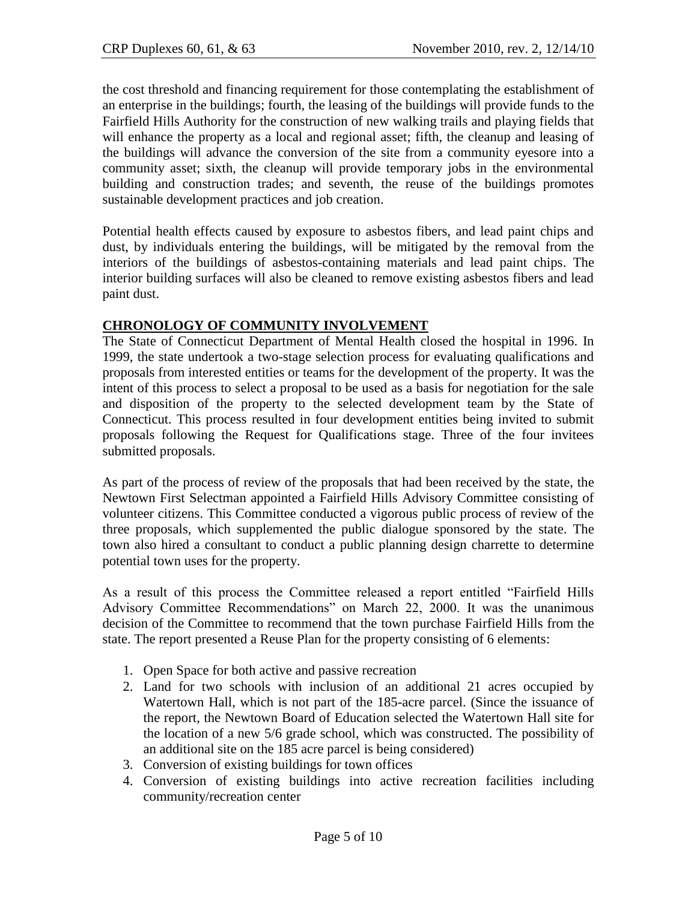the cost threshold and financing requirement for those contemplating the establishment of an enterprise in the buildings; fourth, the leasing of the buildings will provide funds to the Fairfield Hills Authority for the construction of new walking trails and playing fields that will enhance the property as a local and regional asset; fifth, the cleanup and leasing of the buildings will advance the conversion of the site from a community eyesore into a community asset; sixth, the cleanup will provide temporary jobs in the environmental building and construction trades; and seventh, the reuse of the buildings promotes sustainable development practices and job creation.

Potential health effects caused by exposure to asbestos fibers, and lead paint chips and dust, by individuals entering the buildings, will be mitigated by the removal from the interiors of the buildings of asbestos-containing materials and lead paint chips. The interior building surfaces will also be cleaned to remove existing asbestos fibers and lead paint dust.

#### **CHRONOLOGY OF COMMUNITY INVOLVEMENT**

The State of Connecticut Department of Mental Health closed the hospital in 1996. In 1999, the state undertook a two-stage selection process for evaluating qualifications and proposals from interested entities or teams for the development of the property. It was the intent of this process to select a proposal to be used as a basis for negotiation for the sale and disposition of the property to the selected development team by the State of Connecticut. This process resulted in four development entities being invited to submit proposals following the Request for Qualifications stage. Three of the four invitees submitted proposals.

As part of the process of review of the proposals that had been received by the state, the Newtown First Selectman appointed a Fairfield Hills Advisory Committee consisting of volunteer citizens. This Committee conducted a vigorous public process of review of the three proposals, which supplemented the public dialogue sponsored by the state. The town also hired a consultant to conduct a public planning design charrette to determine potential town uses for the property.

As a result of this process the Committee released a report entitled "Fairfield Hills Advisory Committee Recommendations" on March 22, 2000. It was the unanimous decision of the Committee to recommend that the town purchase Fairfield Hills from the state. The report presented a Reuse Plan for the property consisting of 6 elements:

- 1. Open Space for both active and passive recreation
- 2. Land for two schools with inclusion of an additional 21 acres occupied by Watertown Hall, which is not part of the 185-acre parcel. (Since the issuance of the report, the Newtown Board of Education selected the Watertown Hall site for the location of a new 5/6 grade school, which was constructed. The possibility of an additional site on the 185 acre parcel is being considered)
- 3. Conversion of existing buildings for town offices
- 4. Conversion of existing buildings into active recreation facilities including community/recreation center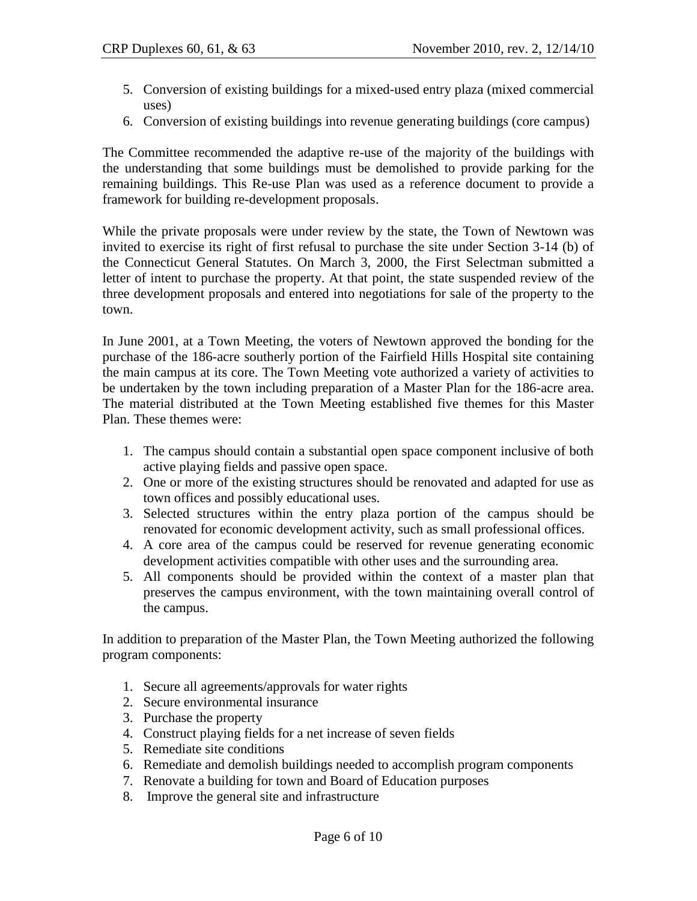- 5. Conversion of existing buildings for a mixed-used entry plaza (mixed commercial uses)
- 6. Conversion of existing buildings into revenue generating buildings (core campus)

The Committee recommended the adaptive re-use of the majority of the buildings with the understanding that some buildings must be demolished to provide parking for the remaining buildings. This Re-use Plan was used as a reference document to provide a framework for building re-development proposals.

While the private proposals were under review by the state, the Town of Newtown was invited to exercise its right of first refusal to purchase the site under Section 3-14 (b) of the Connecticut General Statutes. On March 3, 2000, the First Selectman submitted a letter of intent to purchase the property. At that point, the state suspended review of the three development proposals and entered into negotiations for sale of the property to the town.

In June 2001, at a Town Meeting, the voters of Newtown approved the bonding for the purchase of the 186-acre southerly portion of the Fairfield Hills Hospital site containing the main campus at its core. The Town Meeting vote authorized a variety of activities to be undertaken by the town including preparation of a Master Plan for the 186-acre area. The material distributed at the Town Meeting established five themes for this Master Plan. These themes were:

- 1. The campus should contain a substantial open space component inclusive of both active playing fields and passive open space.
- 2. One or more of the existing structures should be renovated and adapted for use as town offices and possibly educational uses.
- 3. Selected structures within the entry plaza portion of the campus should be renovated for economic development activity, such as small professional offices.
- 4. A core area of the campus could be reserved for revenue generating economic development activities compatible with other uses and the surrounding area.
- 5. All components should be provided within the context of a master plan that preserves the campus environment, with the town maintaining overall control of the campus.

In addition to preparation of the Master Plan, the Town Meeting authorized the following program components:

- 1. Secure all agreements/approvals for water rights
- 2. Secure environmental insurance
- 3. Purchase the property
- 4. Construct playing fields for a net increase of seven fields
- 5. Remediate site conditions
- 6. Remediate and demolish buildings needed to accomplish program components
- 7. Renovate a building for town and Board of Education purposes
- 8. Improve the general site and infrastructure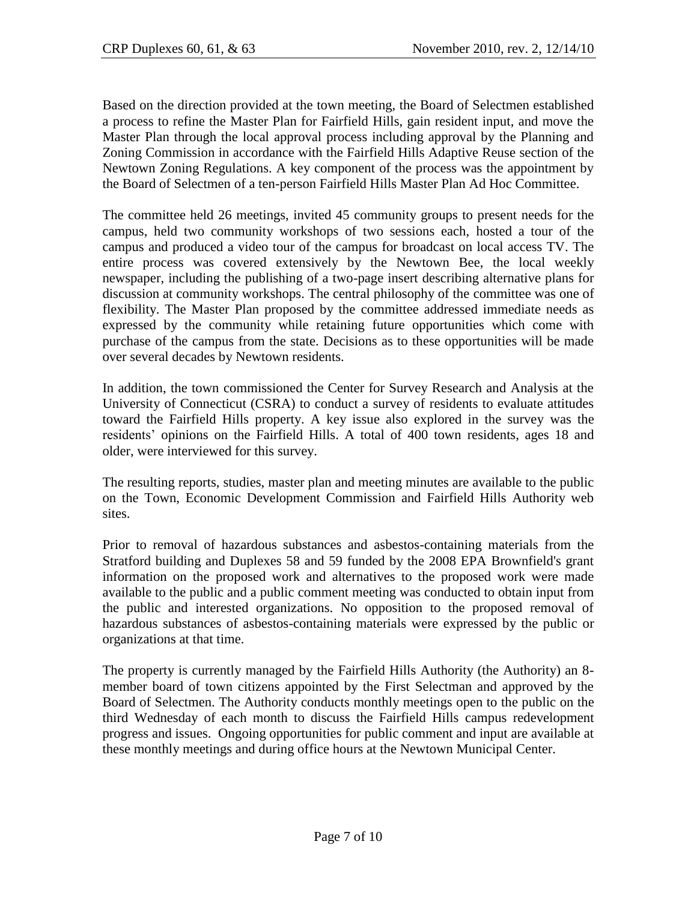Based on the direction provided at the town meeting, the Board of Selectmen established a process to refine the Master Plan for Fairfield Hills, gain resident input, and move the Master Plan through the local approval process including approval by the Planning and Zoning Commission in accordance with the Fairfield Hills Adaptive Reuse section of the Newtown Zoning Regulations. A key component of the process was the appointment by the Board of Selectmen of a ten-person Fairfield Hills Master Plan Ad Hoc Committee.

The committee held 26 meetings, invited 45 community groups to present needs for the campus, held two community workshops of two sessions each, hosted a tour of the campus and produced a video tour of the campus for broadcast on local access TV. The entire process was covered extensively by the Newtown Bee, the local weekly newspaper, including the publishing of a two-page insert describing alternative plans for discussion at community workshops. The central philosophy of the committee was one of flexibility. The Master Plan proposed by the committee addressed immediate needs as expressed by the community while retaining future opportunities which come with purchase of the campus from the state. Decisions as to these opportunities will be made over several decades by Newtown residents.

In addition, the town commissioned the Center for Survey Research and Analysis at the University of Connecticut (CSRA) to conduct a survey of residents to evaluate attitudes toward the Fairfield Hills property. A key issue also explored in the survey was the residents' opinions on the Fairfield Hills. A total of 400 town residents, ages 18 and older, were interviewed for this survey.

The resulting reports, studies, master plan and meeting minutes are available to the public on the Town, Economic Development Commission and Fairfield Hills Authority web sites.

Prior to removal of hazardous substances and asbestos-containing materials from the Stratford building and Duplexes 58 and 59 funded by the 2008 EPA Brownfield's grant information on the proposed work and alternatives to the proposed work were made available to the public and a public comment meeting was conducted to obtain input from the public and interested organizations. No opposition to the proposed removal of hazardous substances of asbestos-containing materials were expressed by the public or organizations at that time.

The property is currently managed by the Fairfield Hills Authority (the Authority) an 8 member board of town citizens appointed by the First Selectman and approved by the Board of Selectmen. The Authority conducts monthly meetings open to the public on the third Wednesday of each month to discuss the Fairfield Hills campus redevelopment progress and issues. Ongoing opportunities for public comment and input are available at these monthly meetings and during office hours at the Newtown Municipal Center.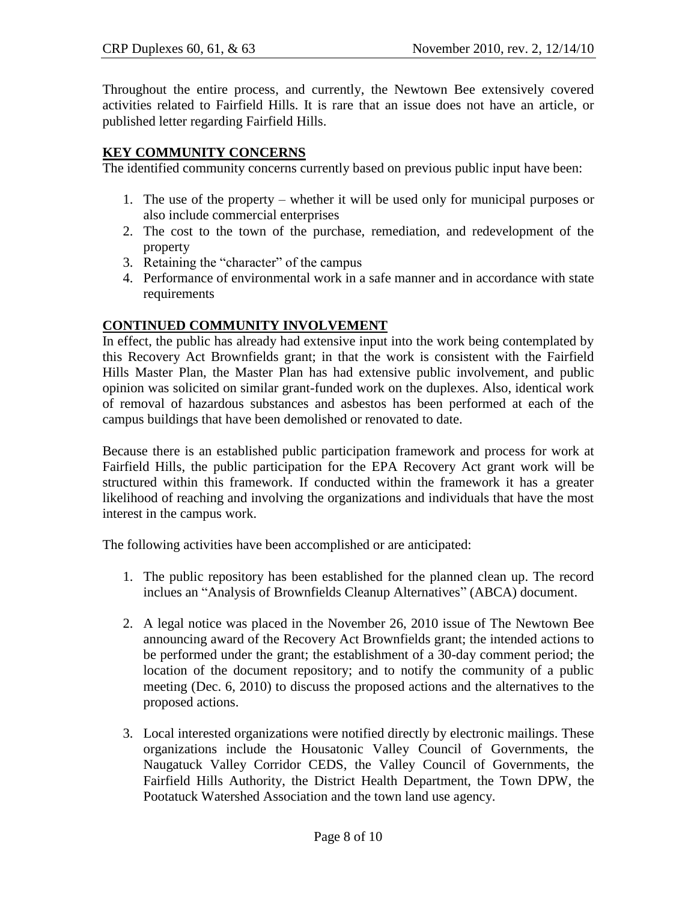Throughout the entire process, and currently, the Newtown Bee extensively covered activities related to Fairfield Hills. It is rare that an issue does not have an article, or published letter regarding Fairfield Hills.

# **KEY COMMUNITY CONCERNS**

The identified community concerns currently based on previous public input have been:

- 1. The use of the property whether it will be used only for municipal purposes or also include commercial enterprises
- 2. The cost to the town of the purchase, remediation, and redevelopment of the property
- 3. Retaining the "character" of the campus
- 4. Performance of environmental work in a safe manner and in accordance with state requirements

# **CONTINUED COMMUNITY INVOLVEMENT**

In effect, the public has already had extensive input into the work being contemplated by this Recovery Act Brownfields grant; in that the work is consistent with the Fairfield Hills Master Plan, the Master Plan has had extensive public involvement, and public opinion was solicited on similar grant-funded work on the duplexes. Also, identical work of removal of hazardous substances and asbestos has been performed at each of the campus buildings that have been demolished or renovated to date.

Because there is an established public participation framework and process for work at Fairfield Hills, the public participation for the EPA Recovery Act grant work will be structured within this framework. If conducted within the framework it has a greater likelihood of reaching and involving the organizations and individuals that have the most interest in the campus work.

The following activities have been accomplished or are anticipated:

- 1. The public repository has been established for the planned clean up. The record inclues an "Analysis of Brownfields Cleanup Alternatives" (ABCA) document.
- 2. A legal notice was placed in the November 26, 2010 issue of The Newtown Bee announcing award of the Recovery Act Brownfields grant; the intended actions to be performed under the grant; the establishment of a 30-day comment period; the location of the document repository; and to notify the community of a public meeting (Dec. 6, 2010) to discuss the proposed actions and the alternatives to the proposed actions.
- 3. Local interested organizations were notified directly by electronic mailings. These organizations include the Housatonic Valley Council of Governments, the Naugatuck Valley Corridor CEDS, the Valley Council of Governments, the Fairfield Hills Authority, the District Health Department, the Town DPW, the Pootatuck Watershed Association and the town land use agency.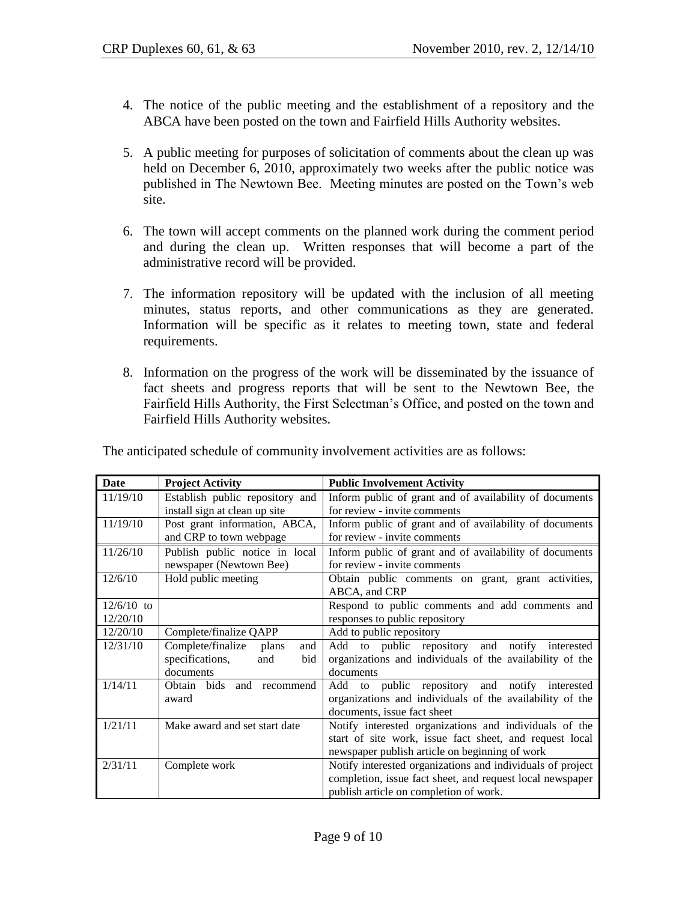- 4. The notice of the public meeting and the establishment of a repository and the ABCA have been posted on the town and Fairfield Hills Authority websites.
- 5. A public meeting for purposes of solicitation of comments about the clean up was held on December 6, 2010, approximately two weeks after the public notice was published in The Newtown Bee. Meeting minutes are posted on the Town's web site.
- 6. The town will accept comments on the planned work during the comment period and during the clean up. Written responses that will become a part of the administrative record will be provided.
- 7. The information repository will be updated with the inclusion of all meeting minutes, status reports, and other communications as they are generated. Information will be specific as it relates to meeting town, state and federal requirements.
- 8. Information on the progress of the work will be disseminated by the issuance of fact sheets and progress reports that will be sent to the Newtown Bee, the Fairfield Hills Authority, the First Selectman's Office, and posted on the town and Fairfield Hills Authority websites.

| Date         | <b>Project Activity</b>           | <b>Public Involvement Activity</b>                         |
|--------------|-----------------------------------|------------------------------------------------------------|
| 11/19/10     | Establish public repository and   | Inform public of grant and of availability of documents    |
|              | install sign at clean up site     | for review - invite comments                               |
| 11/19/10     | Post grant information, ABCA,     | Inform public of grant and of availability of documents    |
|              | and CRP to town webpage           | for review - invite comments                               |
| 11/26/10     | Publish public notice in local    | Inform public of grant and of availability of documents    |
|              | newspaper (Newtown Bee)           | for review - invite comments                               |
| 12/6/10      | Hold public meeting               | Obtain public comments on grant, grant activities,         |
|              |                                   | ABCA, and CRP                                              |
| $12/6/10$ to |                                   | Respond to public comments and add comments and            |
| 12/20/10     |                                   | responses to public repository                             |
| 12/20/10     | Complete/finalize QAPP            | Add to public repository                                   |
| 12/31/10     | Complete/finalize<br>plans<br>and | Add to public repository and notify interested             |
|              | specifications,<br>and<br>bid     | organizations and individuals of the availability of the   |
|              | documents                         | documents                                                  |
| 1/14/11      | Obtain bids<br>and<br>recommend   | Add to public repository and notify interested             |
|              | award                             | organizations and individuals of the availability of the   |
|              |                                   | documents, issue fact sheet                                |
| 1/21/11      | Make award and set start date     | Notify interested organizations and individuals of the     |
|              |                                   | start of site work, issue fact sheet, and request local    |
|              |                                   | newspaper publish article on beginning of work             |
| 2/31/11      | Complete work                     | Notify interested organizations and individuals of project |
|              |                                   | completion, issue fact sheet, and request local newspaper  |
|              |                                   | publish article on completion of work.                     |

The anticipated schedule of community involvement activities are as follows: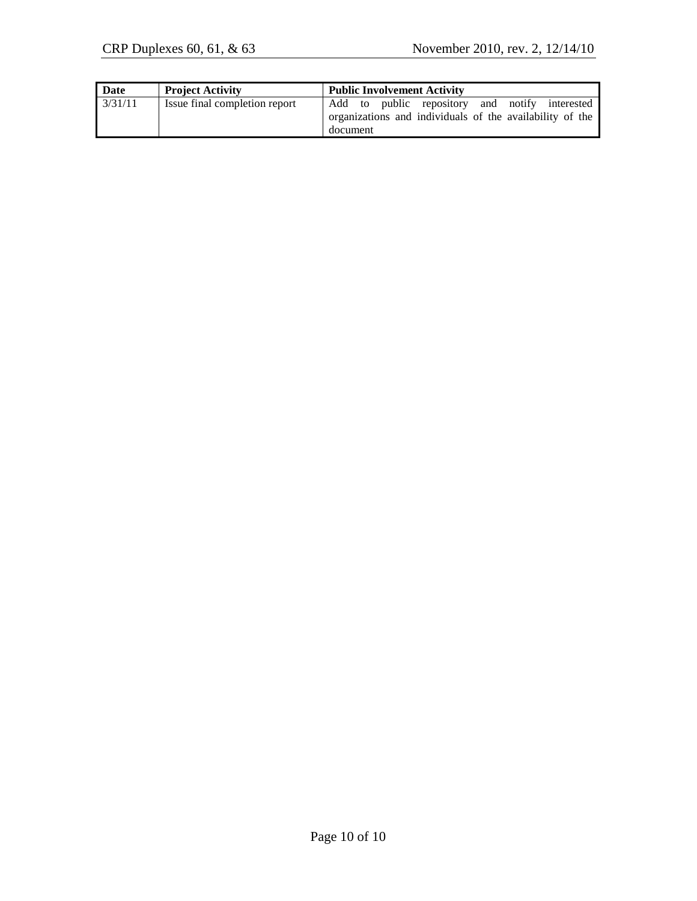| <b>Date</b> | <b>Project Activity</b>       | <b>Public Involvement Activity</b>                       |
|-------------|-------------------------------|----------------------------------------------------------|
| 3/31/11     | Issue final completion report | Add to public repository and notify interested           |
|             |                               | organizations and individuals of the availability of the |
|             |                               | document                                                 |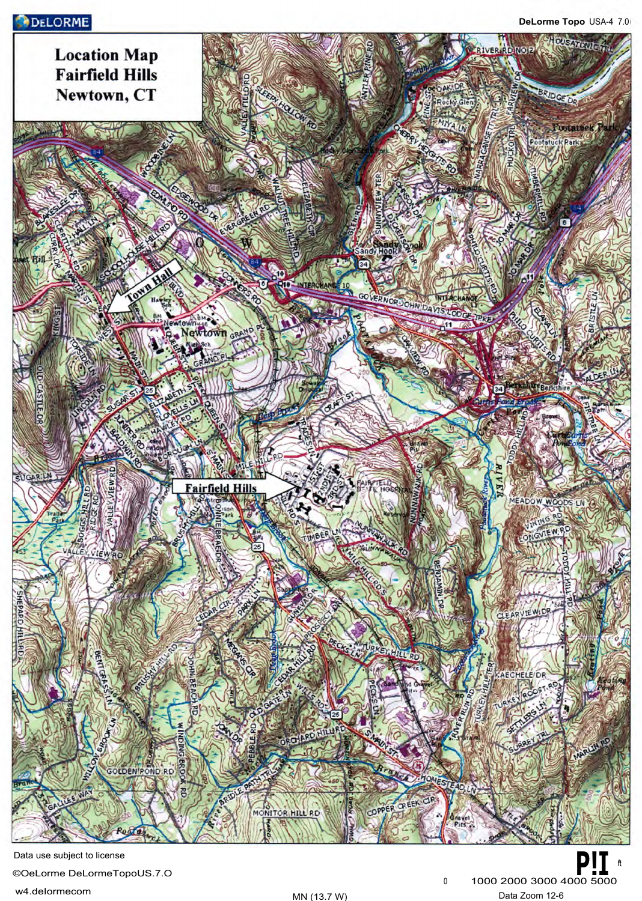# **DELORME**



Data use subject to license ©OeLorme DeLormeTopoUS.7.O **P!I ft**  w4.deIormecom MN (13.7 W) Data Zoom 12-6

0 1000 2000 3000 4000 5000